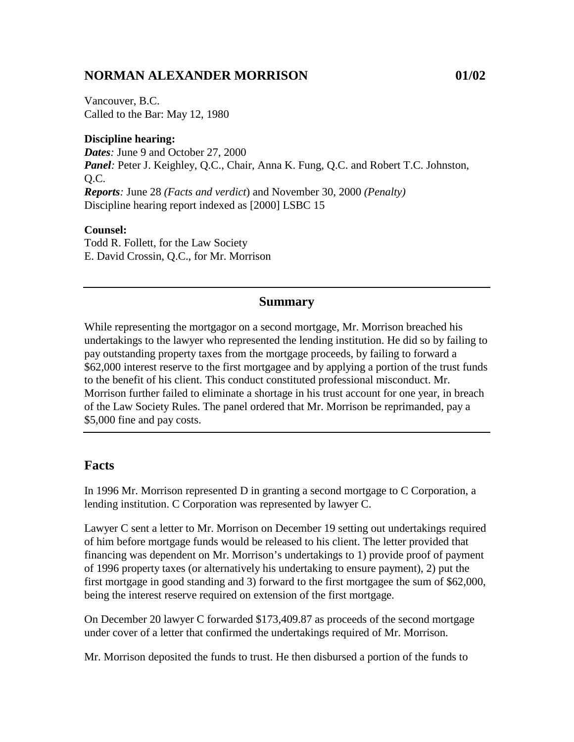### **NORMAN ALEXANDER MORRISON 01/02**

Vancouver, B.C. Called to the Bar: May 12, 1980

**Discipline hearing:** *Dates:* June 9 and October 27, 2000 *Panel:* Peter J. Keighley, Q.C., Chair, Anna K. Fung, Q.C. and Robert T.C. Johnston, Q.C. *Reports:* June 28 *(Facts and verdict*) and November 30, 2000 *(Penalty)* Discipline hearing report indexed as [2000] LSBC 15

**Counsel:** Todd R. Follett, for the Law Society E. David Crossin, Q.C., for Mr. Morrison

#### **Summary**

While representing the mortgagor on a second mortgage, Mr. Morrison breached his undertakings to the lawyer who represented the lending institution. He did so by failing to pay outstanding property taxes from the mortgage proceeds, by failing to forward a \$62,000 interest reserve to the first mortgagee and by applying a portion of the trust funds to the benefit of his client. This conduct constituted professional misconduct. Mr. Morrison further failed to eliminate a shortage in his trust account for one year, in breach of the Law Society Rules. The panel ordered that Mr. Morrison be reprimanded, pay a \$5,000 fine and pay costs.

#### **Facts**

In 1996 Mr. Morrison represented D in granting a second mortgage to C Corporation, a lending institution. C Corporation was represented by lawyer C.

Lawyer C sent a letter to Mr. Morrison on December 19 setting out undertakings required of him before mortgage funds would be released to his client. The letter provided that financing was dependent on Mr. Morrison's undertakings to 1) provide proof of payment of 1996 property taxes (or alternatively his undertaking to ensure payment), 2) put the first mortgage in good standing and 3) forward to the first mortgagee the sum of \$62,000, being the interest reserve required on extension of the first mortgage.

On December 20 lawyer C forwarded \$173,409.87 as proceeds of the second mortgage under cover of a letter that confirmed the undertakings required of Mr. Morrison.

Mr. Morrison deposited the funds to trust. He then disbursed a portion of the funds to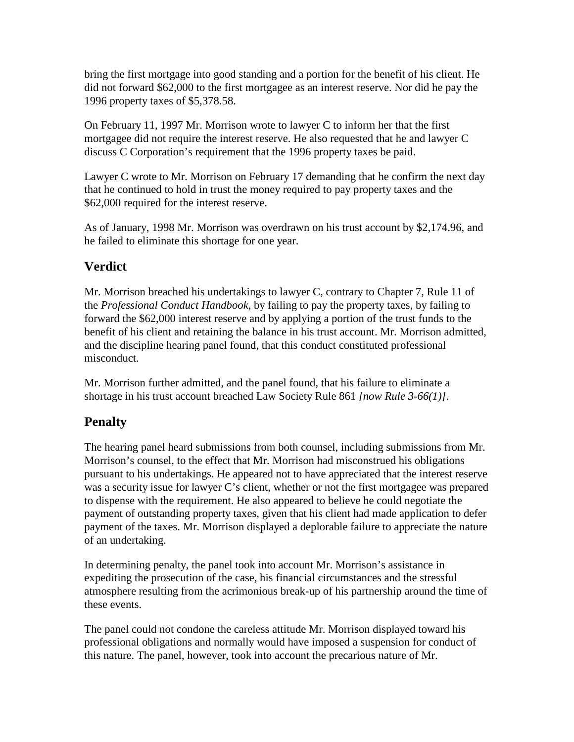bring the first mortgage into good standing and a portion for the benefit of his client. He did not forward \$62,000 to the first mortgagee as an interest reserve. Nor did he pay the 1996 property taxes of \$5,378.58.

On February 11, 1997 Mr. Morrison wrote to lawyer C to inform her that the first mortgagee did not require the interest reserve. He also requested that he and lawyer C discuss C Corporation's requirement that the 1996 property taxes be paid.

Lawyer C wrote to Mr. Morrison on February 17 demanding that he confirm the next day that he continued to hold in trust the money required to pay property taxes and the \$62,000 required for the interest reserve.

As of January, 1998 Mr. Morrison was overdrawn on his trust account by \$2,174.96, and he failed to eliminate this shortage for one year.

## **Verdict**

Mr. Morrison breached his undertakings to lawyer C, contrary to Chapter 7, Rule 11 of the *Professional Conduct Handbook*, by failing to pay the property taxes, by failing to forward the \$62,000 interest reserve and by applying a portion of the trust funds to the benefit of his client and retaining the balance in his trust account. Mr. Morrison admitted, and the discipline hearing panel found, that this conduct constituted professional misconduct.

Mr. Morrison further admitted, and the panel found, that his failure to eliminate a shortage in his trust account breached Law Society Rule 861 *[now Rule 3-66(1)].*

# **Penalty**

The hearing panel heard submissions from both counsel, including submissions from Mr. Morrison's counsel, to the effect that Mr. Morrison had misconstrued his obligations pursuant to his undertakings. He appeared not to have appreciated that the interest reserve was a security issue for lawyer C's client, whether or not the first mortgagee was prepared to dispense with the requirement. He also appeared to believe he could negotiate the payment of outstanding property taxes, given that his client had made application to defer payment of the taxes. Mr. Morrison displayed a deplorable failure to appreciate the nature of an undertaking.

In determining penalty, the panel took into account Mr. Morrison's assistance in expediting the prosecution of the case, his financial circumstances and the stressful atmosphere resulting from the acrimonious break-up of his partnership around the time of these events.

The panel could not condone the careless attitude Mr. Morrison displayed toward his professional obligations and normally would have imposed a suspension for conduct of this nature. The panel, however, took into account the precarious nature of Mr.